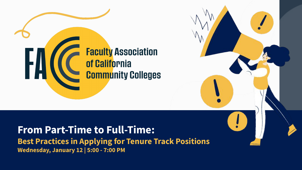# **Faculty Association** of California **Community Colleges**

#### **From Part-Time to Full-Time:**

**Best Practices in Applying for Tenure Track Positions Wednesday, January 12 | 5:00 - 7:00 PM**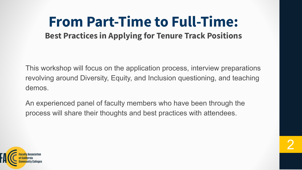#### **From Part-Time to Full-Time: Best Practices in Applying for Tenure Track Positions**

This workshop will focus on the application process, interview preparations revolving around Diversity, Equity, and Inclusion questioning, and teaching demos.

An experienced panel of faculty members who have been through the process will share their thoughts and best practices with attendees.

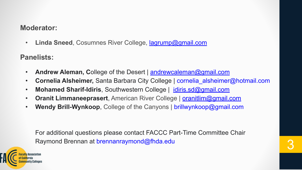#### **Moderator:**

• **Linda Sneed**, Cosumnes River College, [lagrump@gmail.com](mailto:lagrump@gmail.com)

**Panelists:**

- **Andrew Aleman, College of the Desert | [andrewcaleman@gmail.com](mailto:andrewcaleman@gmail.com)**
- **Cornelia Alsheimer,** Santa Barbara City College | cornelia\_alsheimer@hotmail.com
- Mohamed Sharif-Idiris, Southwestern College | [idiris.sd@gmail.com](mailto:idiris.sd@gmail.com)
- **Oranit Limmaneeprasert**, American River College | [oranitlim@gmail.com](mailto:oranitlim@gmail.com)
- **Wendy Brill-Wynkoop**, College of the Canyons | brillwynkoop@gmail.com

For additional questions please contact FACCC Part-Time Committee Chair Raymond Brennan at brennanraymond@fhda.edu 3

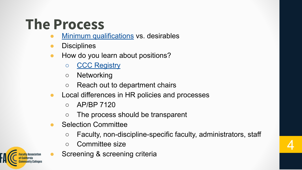### **The Process**

- **[Minimum qualifications](https://www.cccco.edu/-/media/CCCCO-Website/About-Us/Divisions/Educational-Services-and-Support/Academic-Affairs/What-we-do/Curriculum-and-Instruction-Unit/Minimum-Qualifications/cccco-2021-report-min-qualifications-a11y.pdf?la=en&hash=AB424D9D2AEDEEBE2A54757BF58ABFC2B852A2F9) vs. desirables**
- **Disciplines**
- How do you learn about positions?
	- [CCC Registry](https://www.cccregistry.org/jobs/index.aspx)
	- Networking
	- Reach out to department chairs
- Local differences in HR policies and processes
	- $\circ$  AP/BP 7120
	- The process should be transparent
- Selection Committee
	- Faculty, non-discipline-specific faculty, administrators, staff
	- Committee size
	- Screening & screening criteria

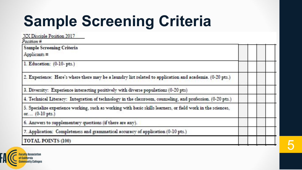#### **Sample Screening Criteria** .<br>V

| XX Disciple Position 2017<br>Position#                                                                                         |  |
|--------------------------------------------------------------------------------------------------------------------------------|--|
| <b>Sample Screening Criteria</b>                                                                                               |  |
| Applicants $\equiv$                                                                                                            |  |
| 1. Education: (0-10- pts.)                                                                                                     |  |
| 2. Experience: Here's where there may be a laundry list related to application and academia. (0-20 pts.)                       |  |
| 3. Diversity: Experience interacting positively with diverse populations (0-20 pts)                                            |  |
| 4. Technical Literacy: Integration of technology in the classroom, counseling, and profession. (0-20 pts.)                     |  |
| 5. Specialize experience working, such as working with basic skills learners, or field work in the sciences,<br>or (0-10 pts.) |  |
| 6. Answers to supplementary questions (if there are any).                                                                      |  |
| 7. Application: Completeness and grammatical accuracy of application (0-10 pts.)                                               |  |
| <b>TOTAL POINTS (100)</b>                                                                                                      |  |

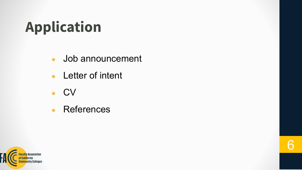# **Application**

• Job announcement

- Letter of intent
- **CV**
- References

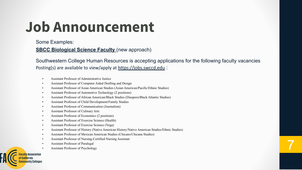### **Job Announcement**

Some Examples:

#### **[SBCC Biological Science Faculty](https://drive.google.com/file/d/1evujaAd9d82HZ_qZGrIIUhn2umLrMqJv/view?usp=sharing)** (new approach)

Southwestern College Human Resources is accepting applications for the following faculty vacancies Posting(s) are available to view/apply at <https://jobs.swccd.edu> :

- Assistant Professor of Administrative Justice
- Assistant Professor of Computer Aided Drafting and Design
- Assistant Professor of Asian American Studies (Asian American/Pacific/Ethnic Studies)
- Assistant Professor of Automotive Technology (2 positions)
- Assistant Professor of African American/Black Studies (Diaspora/Black Atlantic Studies)
- Assistant Professor of Child Development/Family Studies
- Assistant Professor of Communication (Journalism)
- Assistant Professor of Culinary Arts
- Assistant Professor of Economics (2 positions)
- Assistant Professor of Exercise Science (Health)
- Assistant Professor of Exercise Science (Yoga)
- Assistant Professor of History (Native American History/Native American Studies/Ethnic Studies)
- Assistant Professor of Mexican American Studies (Chicano/Chicana Studies)
- Assistant Professor of Nursing-Certified Nursing Assistant
- Assistant Professor of Paralegal
- Assistant Professor of Nursing-Certifical Nursing Assistant<br>• Assistant Professor of Paralegal<br>• Assistant Professor of Psychology

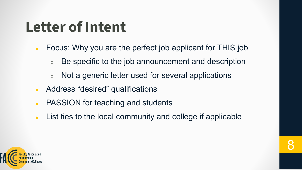#### **Letter of Intent**

- Focus: Why you are the perfect job applicant for THIS job
	- Be specific to the job announcement and description
	- Not a generic letter used for several applications
- Address "desired" qualifications
- PASSION for teaching and students
- List ties to the local community and college if applicable

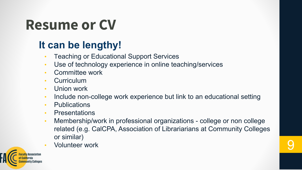#### **Resume or CV**

#### **It can be lengthy!**

- Teaching or Educational Support Services
- Use of technology experience in online teaching/services
- Committee work
- **Curriculum**
- Union work
- Include non-college work experience but link to an educational setting
- Publications
- Presentations
- Membership/work in professional organizations college or non college related (e.g. CalCPA, Association of Librariarians at Community Colleges or similar)
- Volunteer work 9

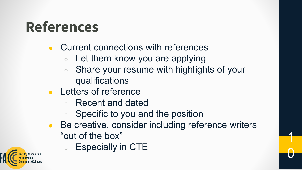### **References**

- Current connections with references
	- $\circ$  Let them know you are applying
	- Share your resume with highlights of your qualifications
- **Letters of reference** 
	- Recent and dated
	- Specific to you and the position
- Be creative, consider including reference writers "out of the box"

1

0

Especially in CTE

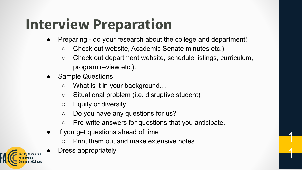### **Interview Preparation**

- Preparing do your research about the college and department!
	- Check out website, Academic Senate minutes etc.).
	- Check out department website, schedule listings, curriculum, program review etc.).

1

- **Sample Questions** 
	- What is it in your background…
	- Situational problem (i.e. disruptive student)
	- Equity or diversity
	- Do you have any questions for us?
	- Pre-write answers for questions that you anticipate.
- If you get questions ahead of time
	- Print them out and make extensive notes
- Dress appropriately

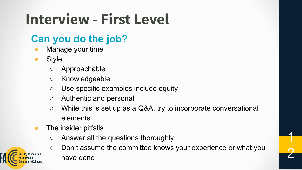### **Interview - First Level**

#### **Can you do the job?**

- Manage your time
- **Style** 
	- Approachable
	- Knowledgeable
	- Use specific examples include equity
	- Authentic and personal
	- While this is set up as a Q&A, try to incorporate conversational elements
- The insider pitfalls
	- Answer all the questions thoroughly
	- Don't assume the committee knows your experience or what you have done

1

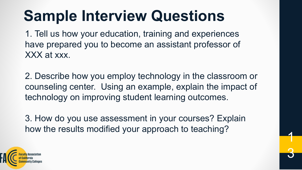### **Sample Interview Questions**

1. Tell us how your education, training and experiences have prepared you to become an assistant professor of XXX at xxx.

2. Describe how you employ technology in the classroom or counseling center. Using an example, explain the impact of technology on improving student learning outcomes.

3. How do you use assessment in your courses? Explain how the results modified your approach to teaching? <sup>1</sup>

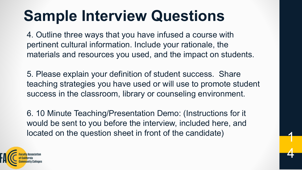### **Sample Interview Questions**

4. Outline three ways that you have infused a course with pertinent cultural information. Include your rationale, the materials and resources you used, and the impact on students.

5. Please explain your definition of student success. Share teaching strategies you have used or will use to promote student success in the classroom, library or counseling environment.

6. 10 Minute Teaching/Presentation Demo: (Instructions for it would be sent to you before the interview, included here, and located on the question sheet in front of the candidate)

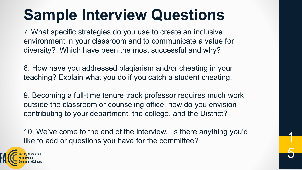### **Sample Interview Questions**

7. What specific strategies do you use to create an inclusive environment in your classroom and to communicate a value for diversity? Which have been the most successful and why?

8. How have you addressed plagiarism and/or cheating in your teaching? Explain what you do if you catch a student cheating.

9. Becoming a full-time tenure track professor requires much work outside the classroom or counseling office, how do you envision contributing to your department, the college, and the District?

10. We've come to the end of the interview. Is there anything you'd like to add or questions you have for the committee?

1

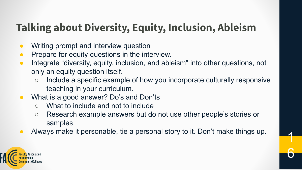#### **Talking about Diversity, Equity, Inclusion, Ableism**

- Writing prompt and interview question
- Prepare for equity questions in the interview.
- Integrate "diversity, equity, inclusion, and ableism" into other questions, not only an equity question itself.
	- Include a specific example of how you incorporate culturally responsive teaching in your curriculum.
- What is a good answer? Do's and Don'ts
	- What to include and not to include
	- Research example answers but do not use other people's stories or samples

6

Always make it personable, tie a personal story to it. Don't make things up.

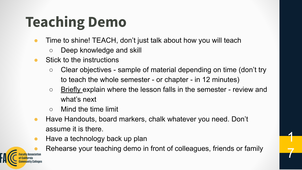# **Teaching Demo**

- Time to shine! TEACH, don't just talk about how you will teach
	- Deep knowledge and skill
- Stick to the instructions
	- $\circ$  Clear objectives sample of material depending on time (don't try to teach the whole semester - or chapter - in 12 minutes)
	- o Briefly explain where the lesson falls in the semester review and what's next
	- Mind the time limit
- Have Handouts, board markers, chalk whatever you need. Don't assume it is there.
- $\bullet$  Have a technology back up plan

Rehearse your teaching demo in front of colleagues, friends or family

1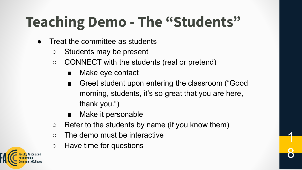# **Teaching Demo - The "Students"**

- Treat the committee as students
	- Students may be present
	- CONNECT with the students (real or pretend)
		- Make eye contact
		- Greet student upon entering the classroom ("Good") morning, students, it's so great that you are here, thank you.")

1

- Make it personable
- $\circ$  Refer to the students by name (if you know them)
- The demo must be interactive
- Have time for questions

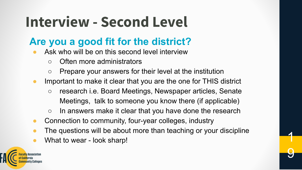### **Interview - Second Level**

#### **Are you a good fit for the district?**

- Ask who will be on this second level interview
	- Often more administrators
	- Prepare your answers for their level at the institution
- Important to make it clear that you are the one for THIS district
	- research i.e. Board Meetings, Newspaper articles, Senate Meetings, talk to someone you know there (if applicable)
	- In answers make it clear that you have done the research
- Connection to community, four-year colleges, industry
- The questions will be about more than teaching or your discipline

9

• What to wear - look sharp!

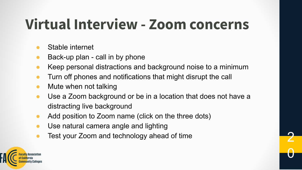### **Virtual Interview - Zoom concerns**

- Stable internet
- Back-up plan call in by phone
- Keep personal distractions and background noise to a minimum
- Turn off phones and notifications that might disrupt the call
- $\bullet$  Mute when not talking
- Use a Zoom background or be in a location that does not have a distracting live background
- Add position to Zoom name (click on the three dots)
- Use natural camera angle and lighting
- Test your Zoom and technology ahead of time